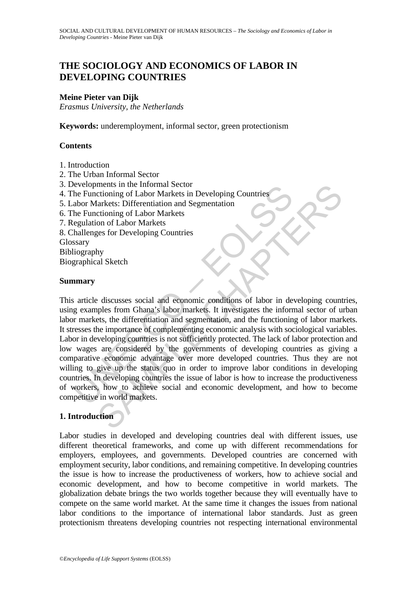# **THE SOCIOLOGY AND ECONOMICS OF LABOR IN DEVELOPING COUNTRIES**

## **Meine Pieter van Dijk**

*Erasmus University, the Netherlands* 

**Keywords:** underemployment, informal sector, green protectionism

#### **Contents**

- 1. Introduction
- 2. The Urban Informal Sector
- 3. Developments in the Informal Sector
- 4. The Functioning of Labor Markets in Developing Countries
- 5. Labor Markets: Differentiation and Segmentation
- 6. The Functioning of Labor Markets
- 7. Regulation of Labor Markets
- 8. Challenges for Developing Countries
- Glossary
- Bibliography

Biographical Sketch

#### **Summary**

Evertoining of Labor Markets in Developing Countries<br>he Functioning of Labor Markets in Developing Countries<br>habor Markets: Differentiation and Segmentation<br>the Functioning of Labor Markets<br>egulation of Labor Markets<br>sary<br> ments in the informal Sector<br>
orthining of Labor Markets in Developing Countries<br>
arkets: Differentiation and Segmentation<br>
crioning of Labor Markets<br>
egs for Developing Countries<br>
egs for Developing Countries<br>
egs for Dev This article discusses social and economic conditions of labor in developing countries, using examples from Ghana's labor markets. It investigates the informal sector of urban labor markets, the differentiation and segmentation, and the functioning of labor markets. It stresses the importance of complementing economic analysis with sociological variables. Labor in developing countries is not sufficiently protected. The lack of labor protection and low wages are considered by the governments of developing countries as giving a comparative economic advantage over more developed countries. Thus they are not willing to give up the status quo in order to improve labor conditions in developing countries. In developing countries the issue of labor is how to increase the productiveness of workers, how to achieve social and economic development, and how to become competitive in world markets.

## **1. Introduction**

Labor studies in developed and developing countries deal with different issues, use different theoretical frameworks, and come up with different recommendations for employers, employees, and governments. Developed countries are concerned with employment security, labor conditions, and remaining competitive. In developing countries the issue is how to increase the productiveness of workers, how to achieve social and economic development, and how to become competitive in world markets. The globalization debate brings the two worlds together because they will eventually have to compete on the same world market. At the same time it changes the issues from national labor conditions to the importance of international labor standards. Just as green protectionism threatens developing countries not respecting international environmental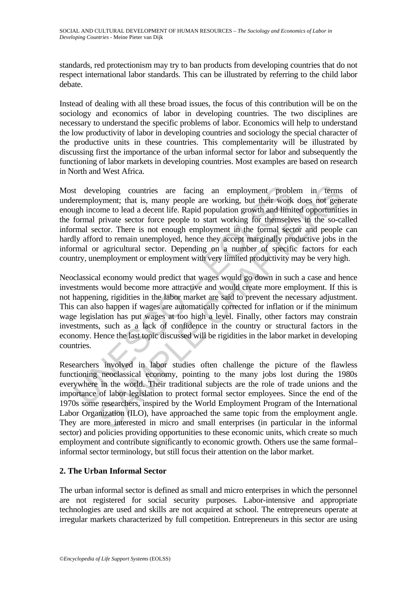standards, red protectionism may try to ban products from developing countries that do not respect international labor standards. This can be illustrated by referring to the child labor debate.

Instead of dealing with all these broad issues, the focus of this contribution will be on the sociology and economics of labor in developing countries. The two disciplines are necessary to understand the specific problems of labor. Economics will help to understand the low productivity of labor in developing countries and sociology the special character of the productive units in these countries. This complementarity will be illustrated by discussing first the importance of the urban informal sector for labor and subsequently the functioning of labor markets in developing countries. Most examples are based on research in North and West Africa.

ist developing countries are facing an employment proble<br>remployment; that is, many people are working, but their work<br>ggh income to lead a decent life. Rapid population growth and limi<br>formal private sector force people t eloping countries are facing an employment problem in terms<br>oyment; that is, many people are working, but their work does not genome<br>onre to lead a decent life. Rapid population growth and limited opportminite<br>private sect Most developing countries are facing an employment problem in terms of underemployment; that is, many people are working, but their work does not generate enough income to lead a decent life. Rapid population growth and limited opportunities in the formal private sector force people to start working for themselves in the so-called informal sector. There is not enough employment in the formal sector and people can hardly afford to remain unemployed, hence they accept marginally productive jobs in the informal or agricultural sector. Depending on a number of specific factors for each country, unemployment or employment with very limited productivity may be very high.

Neoclassical economy would predict that wages would go down in such a case and hence investments would become more attractive and would create more employment. If this is not happening, rigidities in the labor market are said to prevent the necessary adjustment. This can also happen if wages are automatically corrected for inflation or if the minimum wage legislation has put wages at too high a level. Finally, other factors may constrain investments, such as a lack of confidence in the country or structural factors in the economy. Hence the last topic discussed will be rigidities in the labor market in developing countries.

Researchers involved in labor studies often challenge the picture of the flawless functioning neoclassical economy, pointing to the many jobs lost during the 1980s everywhere in the world. Their traditional subjects are the role of trade unions and the importance of labor legislation to protect formal sector employees. Since the end of the 1970s some researchers, inspired by the World Employment Program of the International Labor Organization (ILO), have approached the same topic from the employment angle. They are more interested in micro and small enterprises (in particular in the informal sector) and policies providing opportunities to these economic units, which create so much employment and contribute significantly to economic growth. Others use the same formal– informal sector terminology, but still focus their attention on the labor market.

## **2. The Urban Informal Sector**

The urban informal sector is defined as small and micro enterprises in which the personnel are not registered for social security purposes. Labor-intensive and appropriate technologies are used and skills are not acquired at school. The entrepreneurs operate at irregular markets characterized by full competition. Entrepreneurs in this sector are using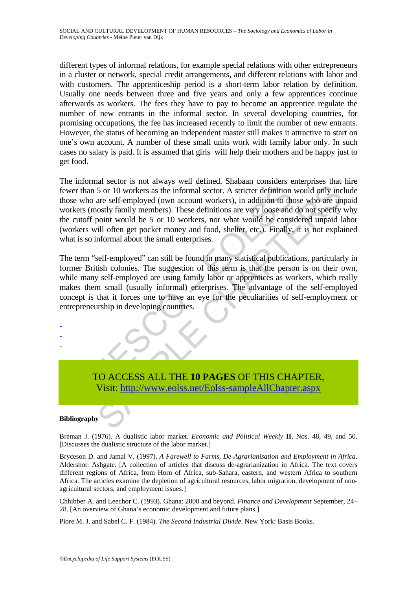different types of informal relations, for example special relations with other entrepreneurs in a cluster or network, special credit arrangements, and different relations with labor and with customers. The apprenticeship period is a short-term labor relation by definition. Usually one needs between three and five years and only a few apprentices continue afterwards as workers. The fees they have to pay to become an apprentice regulate the number of new entrants in the informal sector. In several developing countries, for promising occupations, the fee has increased recently to limit the number of new entrants. However, the status of becoming an independent master still makes it attractive to start on one's own account. A number of these small units work with family labor only. In such cases no salary is paid. It is assumed that girls will help their mothers and be happy just to get food.

external 5 or 10 workers as the informal sector. A stricter definition<br>e who are self-employed (own account workers), in addition to the<br>kers (mostly family members). These definitions are very loose and<br>cutoff point would and the state of the method of the state of the state of the state of the state of the state of the state definition would only ince self-employed (own account workers), in addition to those who are un are self-employed (o The informal sector is not always well defined. Shabaan considers enterprises that hire fewer than 5 or 10 workers as the informal sector. A stricter definition would only include those who are self-employed (own account workers), in addition to those who are unpaid workers (mostly family members). These definitions are very loose and do not specify why the cutoff point would be 5 or 10 workers, nor what would be considered unpaid labor (workers will often get pocket money and food, shelter, etc.). Finally, it is not explained what is so informal about the small enterprises.

The term "self-employed" can still be found in many statistical publications, particularly in former British colonies. The suggestion of this term is that the person is on their own, while many self-employed are using family labor or apprentices as workers, which really makes them small (usually informal) enterprises. The advantage of the self-employed concept is that it forces one to have an eye for the peculiarities of self-employment or entrepreneurship in developing countries.

- - -

> TO ACCESS ALL THE **10 PAGES** OF THIS CHAPTER, Visit: http://www.eolss.net/Eolss-sampleAllChapter.aspx

## **Bibliography**

Breman J. (1976). A dualistic labor market. *Economic and Political Weekly* **II**, Nos. 48, 49, and 50. [Discusses the dualistic structure of the labor market.]

Bryceson D. and Jamal V. (1997). *A Farewell to Farms, De-Agrarianisation and Employment in Africa*. Aldershot: Ashgate. [A collection of articles that discuss de-agrarianization in Africa. The text covers different regions of Africa, from Horn of Africa, sub-Sahara, eastern, and western Africa to southern Africa. The articles examine the depletion of agricultural resources, labor migration, development of nonagricultural sectors, and employment issues.]

Chhibber A. and Leechor C. (1993). Ghana: 2000 and beyond. *Finance and Development* September, 24– 28. [An overview of Ghana's economic development and future plans.]

Piore M. J. and Sabel C. F. (1984). *The Second Industrial Divide*. New York: Basis Books.